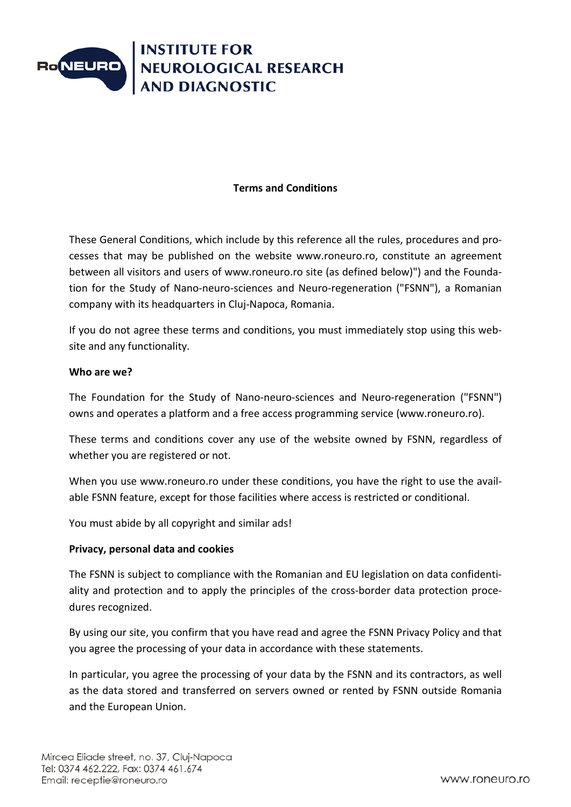

### **Terms and Conditions**

These General Conditions, which include by this reference all the rules, procedures and processes that may be published on the website www.roneuro.ro, constitute an agreement between all visitors and users of www.roneuro.ro site (as defined below)") and the Foundation for the Study of Nano-neuro-sciences and Neuro-regeneration ("FSNN"), a Romanian company with its headquarters in Cluj-Napoca, Romania.

If you do not agree these terms and conditions, you must immediately stop using this website and any functionality.

#### **Who are we?**

The Foundation for the Study of Nano-neuro-sciences and Neuro-regeneration ("FSNN") owns and operates a platform and a free access programming service (www.roneuro.ro).

These terms and conditions cover any use of the website owned by FSNN, regardless of whether you are registered or not.

When you use www.roneuro.ro under these conditions, you have the right to use the available FSNN feature, except for those facilities where access is restricted or conditional.

You must abide by all copyright and similar ads!

#### **Privacy, personal data and cookies**

The FSNN is subject to compliance with the Romanian and EU legislation on data confidentiality and protection and to apply the principles of the cross-border data protection procedures recognized.

By using our site, you confirm that you have read and agree the FSNN Privacy Policy and that you agree the processing of your data in accordance with these statements.

In particular, you agree the processing of your data by the FSNN and its contractors, as well as the data stored and transferred on servers owned or rented by FSNN outside Romania and the European Union.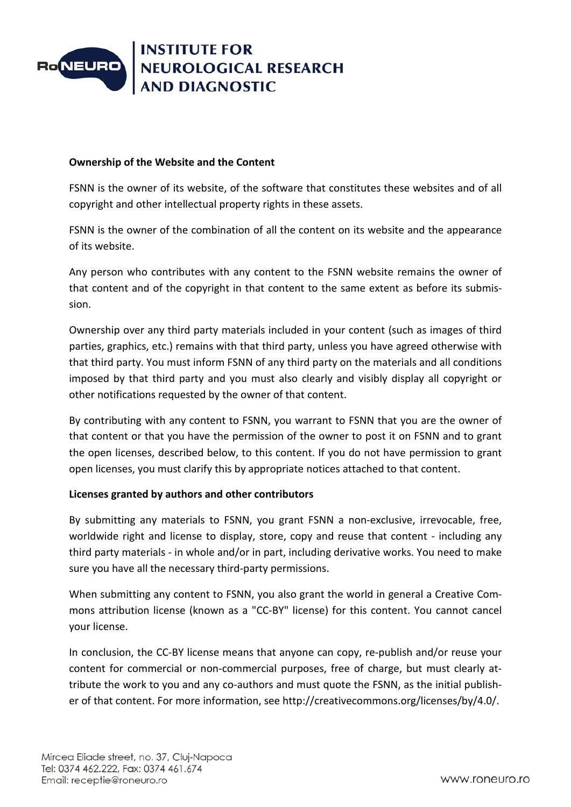

### **Ownership of the Website and the Content**

FSNN is the owner of its website, of the software that constitutes these websites and of all copyright and other intellectual property rights in these assets.

FSNN is the owner of the combination of all the content on its website and the appearance of its website.

Any person who contributes with any content to the FSNN website remains the owner of that content and of the copyright in that content to the same extent as before its submission.

Ownership over any third party materials included in your content (such as images of third parties, graphics, etc.) remains with that third party, unless you have agreed otherwise with that third party. You must inform FSNN of any third party on the materials and all conditions imposed by that third party and you must also clearly and visibly display all copyright or other notifications requested by the owner of that content.

By contributing with any content to FSNN, you warrant to FSNN that you are the owner of that content or that you have the permission of the owner to post it on FSNN and to grant the open licenses, described below, to this content. If you do not have permission to grant open licenses, you must clarify this by appropriate notices attached to that content.

#### **Licenses granted by authors and other contributors**

By submitting any materials to FSNN, you grant FSNN a non-exclusive, irrevocable, free, worldwide right and license to display, store, copy and reuse that content - including any third party materials - in whole and/or in part, including derivative works. You need to make sure you have all the necessary third-party permissions.

When submitting any content to FSNN, you also grant the world in general a Creative Commons attribution license (known as a "CC-BY" license) for this content. You cannot cancel your license.

In conclusion, the CC-BY license means that anyone can copy, re-publish and/or reuse your content for commercial or non-commercial purposes, free of charge, but must clearly attribute the work to you and any co-authors and must quote the FSNN, as the initial publisher of that content. For more information, see http://creativecommons.org/licenses/by/4.0/.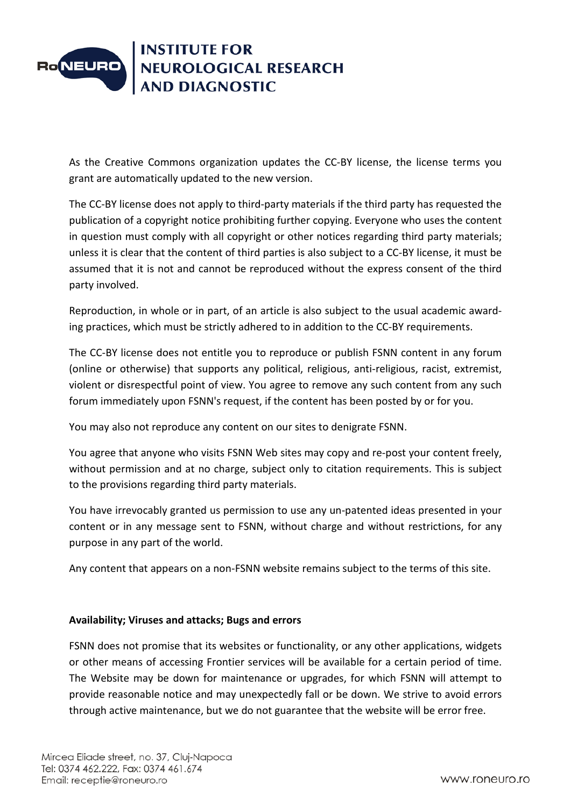

As the Creative Commons organization updates the CC-BY license, the license terms you grant are automatically updated to the new version.

The CC-BY license does not apply to third-party materials if the third party has requested the publication of a copyright notice prohibiting further copying. Everyone who uses the content in question must comply with all copyright or other notices regarding third party materials; unless it is clear that the content of third parties is also subject to a CC-BY license, it must be assumed that it is not and cannot be reproduced without the express consent of the third party involved.

Reproduction, in whole or in part, of an article is also subject to the usual academic awarding practices, which must be strictly adhered to in addition to the CC-BY requirements.

The CC-BY license does not entitle you to reproduce or publish FSNN content in any forum (online or otherwise) that supports any political, religious, anti-religious, racist, extremist, violent or disrespectful point of view. You agree to remove any such content from any such forum immediately upon FSNN's request, if the content has been posted by or for you.

You may also not reproduce any content on our sites to denigrate FSNN.

You agree that anyone who visits FSNN Web sites may copy and re-post your content freely, without permission and at no charge, subject only to citation requirements. This is subject to the provisions regarding third party materials.

You have irrevocably granted us permission to use any un-patented ideas presented in your content or in any message sent to FSNN, without charge and without restrictions, for any purpose in any part of the world.

Any content that appears on a non-FSNN website remains subject to the terms of this site.

# **Availability; Viruses and attacks; Bugs and errors**

FSNN does not promise that its websites or functionality, or any other applications, widgets or other means of accessing Frontier services will be available for a certain period of time. The Website may be down for maintenance or upgrades, for which FSNN will attempt to provide reasonable notice and may unexpectedly fall or be down. We strive to avoid errors through active maintenance, but we do not guarantee that the website will be error free.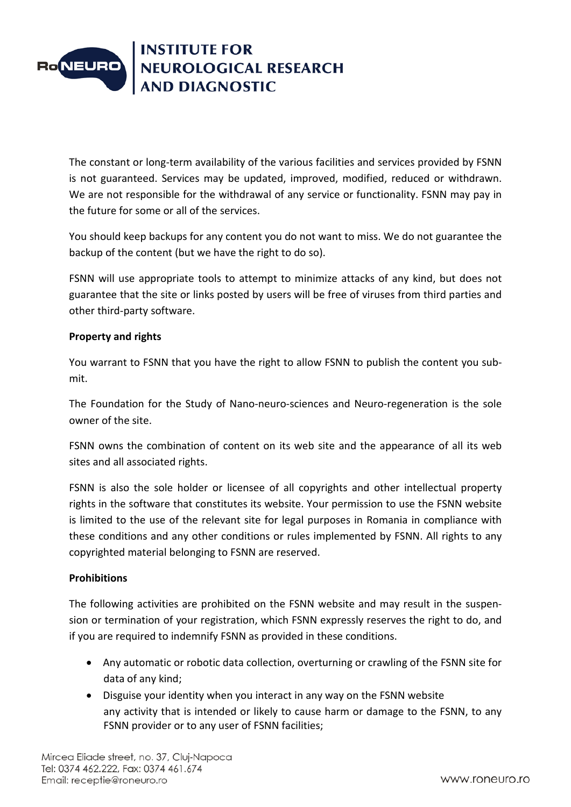

The constant or long-term availability of the various facilities and services provided by FSNN is not guaranteed. Services may be updated, improved, modified, reduced or withdrawn. We are not responsible for the withdrawal of any service or functionality. FSNN may pay in the future for some or all of the services.

You should keep backups for any content you do not want to miss. We do not guarantee the backup of the content (but we have the right to do so).

FSNN will use appropriate tools to attempt to minimize attacks of any kind, but does not guarantee that the site or links posted by users will be free of viruses from third parties and other third-party software.

# **Property and rights**

You warrant to FSNN that you have the right to allow FSNN to publish the content you submit.

The Foundation for the Study of Nano-neuro-sciences and Neuro-regeneration is the sole owner of the site.

FSNN owns the combination of content on its web site and the appearance of all its web sites and all associated rights.

FSNN is also the sole holder or licensee of all copyrights and other intellectual property rights in the software that constitutes its website. Your permission to use the FSNN website is limited to the use of the relevant site for legal purposes in Romania in compliance with these conditions and any other conditions or rules implemented by FSNN. All rights to any copyrighted material belonging to FSNN are reserved.

#### **Prohibitions**

The following activities are prohibited on the FSNN website and may result in the suspension or termination of your registration, which FSNN expressly reserves the right to do, and if you are required to indemnify FSNN as provided in these conditions.

- Any automatic or robotic data collection, overturning or crawling of the FSNN site for data of any kind;
- Disguise your identity when you interact in any way on the FSNN website any activity that is intended or likely to cause harm or damage to the FSNN, to any FSNN provider or to any user of FSNN facilities;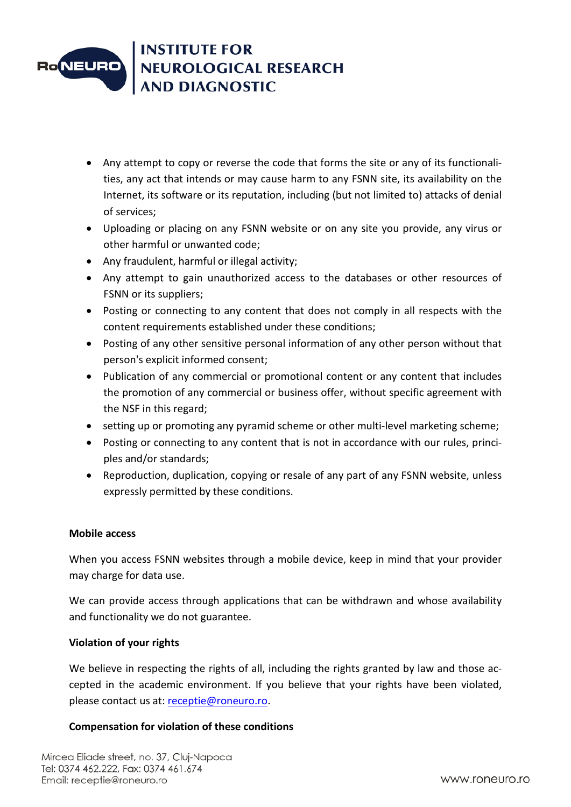

- Any attempt to copy or reverse the code that forms the site or any of its functionalities, any act that intends or may cause harm to any FSNN site, its availability on the Internet, its software or its reputation, including (but not limited to) attacks of denial of services;
- Uploading or placing on any FSNN website or on any site you provide, any virus or other harmful or unwanted code;
- Any fraudulent, harmful or illegal activity;
- Any attempt to gain unauthorized access to the databases or other resources of FSNN or its suppliers;
- Posting or connecting to any content that does not comply in all respects with the content requirements established under these conditions;
- Posting of any other sensitive personal information of any other person without that person's explicit informed consent;
- Publication of any commercial or promotional content or any content that includes the promotion of any commercial or business offer, without specific agreement with the NSF in this regard;
- setting up or promoting any pyramid scheme or other multi-level marketing scheme;
- Posting or connecting to any content that is not in accordance with our rules, principles and/or standards;
- Reproduction, duplication, copying or resale of any part of any FSNN website, unless expressly permitted by these conditions.

# **Mobile access**

When you access FSNN websites through a mobile device, keep in mind that your provider may charge for data use.

We can provide access through applications that can be withdrawn and whose availability and functionality we do not guarantee.

#### **Violation of your rights**

We believe in respecting the rights of all, including the rights granted by law and those accepted in the academic environment. If you believe that your rights have been violated, please contact us at: [receptie@roneuro.ro.](mailto:receptie@roneuro.ro)

# **Compensation for violation of these conditions**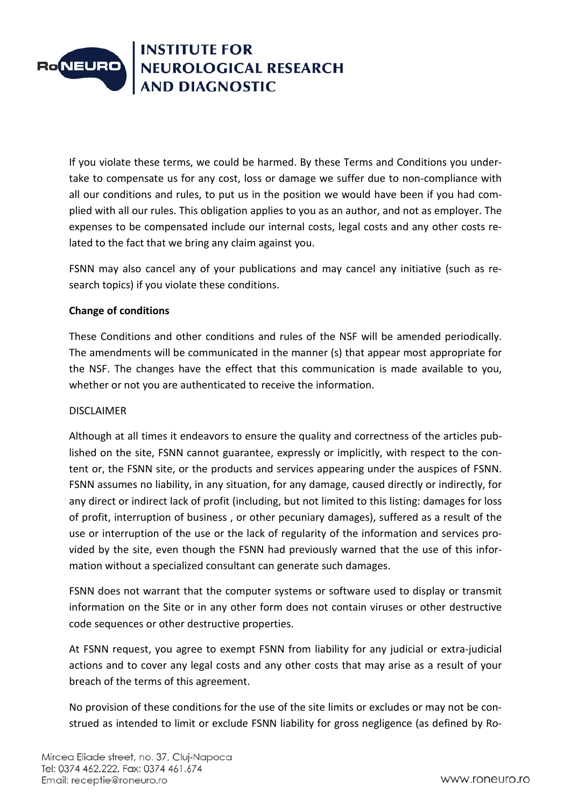

If you violate these terms, we could be harmed. By these Terms and Conditions you undertake to compensate us for any cost, loss or damage we suffer due to non-compliance with all our conditions and rules, to put us in the position we would have been if you had complied with all our rules. This obligation applies to you as an author, and not as employer. The expenses to be compensated include our internal costs, legal costs and any other costs related to the fact that we bring any claim against you.

FSNN may also cancel any of your publications and may cancel any initiative (such as research topics) if you violate these conditions.

# **Change of conditions**

These Conditions and other conditions and rules of the NSF will be amended periodically. The amendments will be communicated in the manner (s) that appear most appropriate for the NSF. The changes have the effect that this communication is made available to you, whether or not you are authenticated to receive the information.

#### DISCLAIMER

Although at all times it endeavors to ensure the quality and correctness of the articles published on the site, FSNN cannot guarantee, expressly or implicitly, with respect to the content or, the FSNN site, or the products and services appearing under the auspices of FSNN. FSNN assumes no liability, in any situation, for any damage, caused directly or indirectly, for any direct or indirect lack of profit (including, but not limited to this listing: damages for loss of profit, interruption of business , or other pecuniary damages), suffered as a result of the use or interruption of the use or the lack of regularity of the information and services provided by the site, even though the FSNN had previously warned that the use of this information without a specialized consultant can generate such damages.

FSNN does not warrant that the computer systems or software used to display or transmit information on the Site or in any other form does not contain viruses or other destructive code sequences or other destructive properties.

At FSNN request, you agree to exempt FSNN from liability for any judicial or extra-judicial actions and to cover any legal costs and any other costs that may arise as a result of your breach of the terms of this agreement.

No provision of these conditions for the use of the site limits or excludes or may not be construed as intended to limit or exclude FSNN liability for gross negligence (as defined by Ro-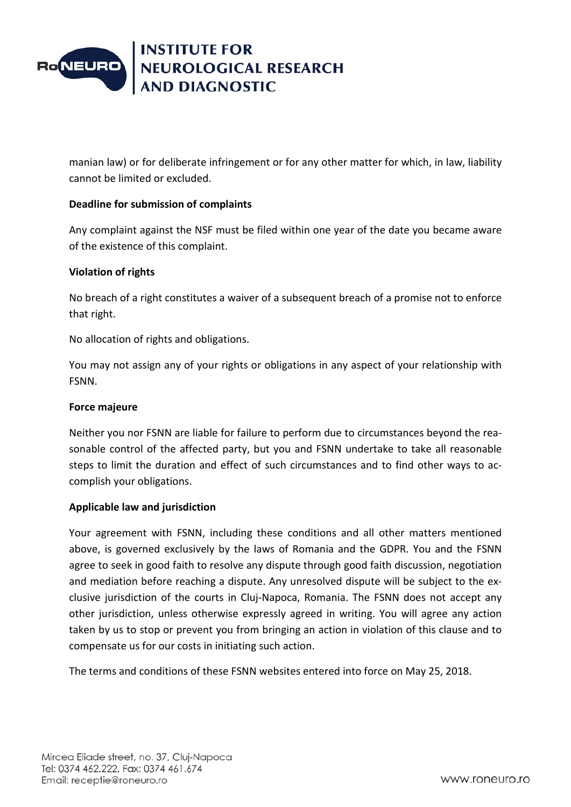

manian law) or for deliberate infringement or for any other matter for which, in law, liability cannot be limited or excluded.

### **Deadline for submission of complaints**

Any complaint against the NSF must be filed within one year of the date you became aware of the existence of this complaint.

### **Violation of rights**

No breach of a right constitutes a waiver of a subsequent breach of a promise not to enforce that right.

No allocation of rights and obligations.

You may not assign any of your rights or obligations in any aspect of your relationship with FSNN.

#### **Force majeure**

Neither you nor FSNN are liable for failure to perform due to circumstances beyond the reasonable control of the affected party, but you and FSNN undertake to take all reasonable steps to limit the duration and effect of such circumstances and to find other ways to accomplish your obligations.

#### **Applicable law and jurisdiction**

Your agreement with FSNN, including these conditions and all other matters mentioned above, is governed exclusively by the laws of Romania and the GDPR. You and the FSNN agree to seek in good faith to resolve any dispute through good faith discussion, negotiation and mediation before reaching a dispute. Any unresolved dispute will be subject to the exclusive jurisdiction of the courts in Cluj-Napoca, Romania. The FSNN does not accept any other jurisdiction, unless otherwise expressly agreed in writing. You will agree any action taken by us to stop or prevent you from bringing an action in violation of this clause and to compensate us for our costs in initiating such action.

The terms and conditions of these FSNN websites entered into force on May 25, 2018.